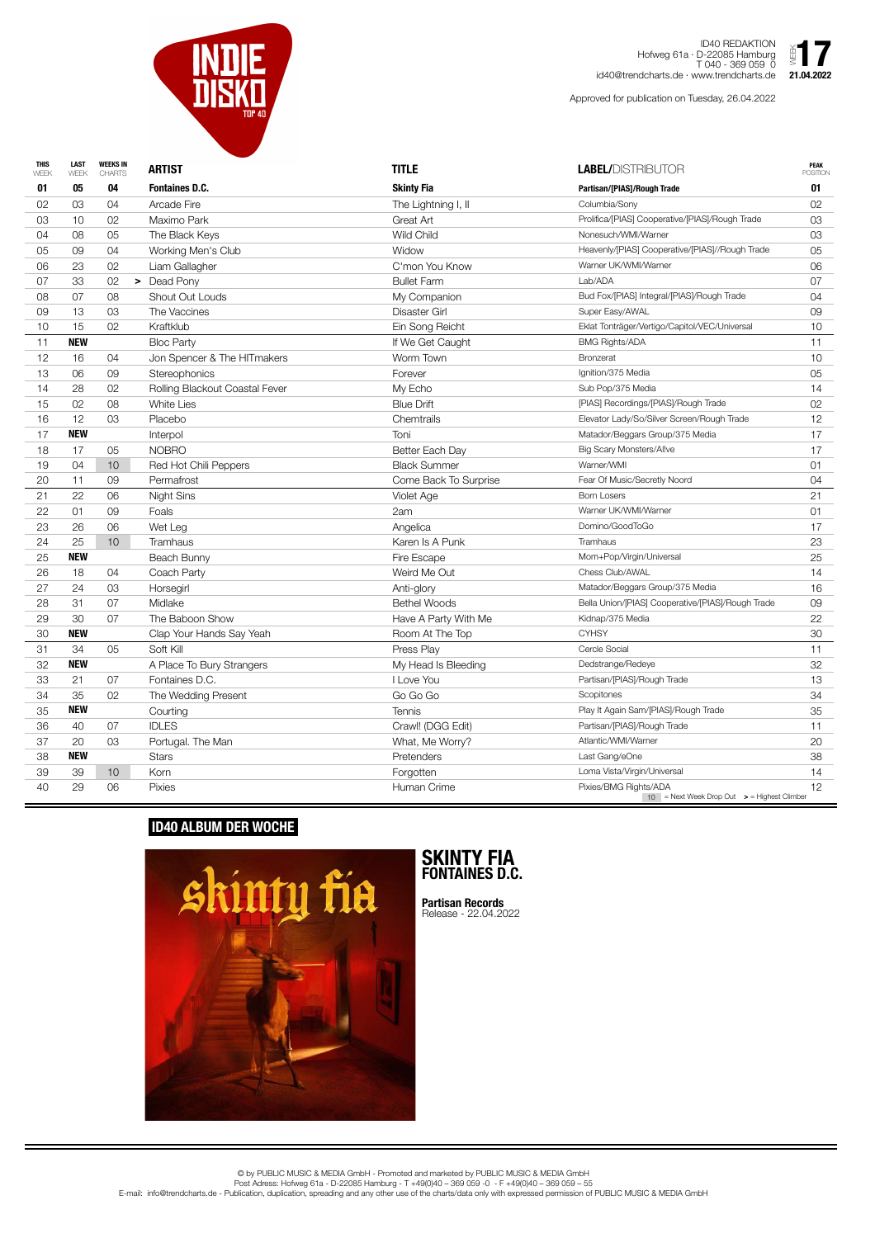| <b>THIS</b><br>WEEK | <b>LAST</b><br>WEEK | <b>WEEKS IN</b><br><b>CHARTS</b> | <b>ARTIST</b>                  | <b>TITLE</b>          | <b>LABEL/DISTRIBUTOR</b>                                                           | <b>PEAK</b><br><b>POSITION</b> |
|---------------------|---------------------|----------------------------------|--------------------------------|-----------------------|------------------------------------------------------------------------------------|--------------------------------|
| 01                  | 05                  | 04                               | <b>Fontaines D.C.</b>          | <b>Skinty Fia</b>     | Partisan/[PIAS]/Rough Trade                                                        | 01                             |
| 02                  | 03                  | 04                               | <b>Arcade Fire</b>             | The Lightning I, II   | Columbia/Sony                                                                      | 02                             |
| 03                  | 10                  | 02                               | Maximo Park                    | Great Art             | Prolifica/[PIAS] Cooperative/[PIAS]/Rough Trade                                    | 03                             |
| 04                  | 08                  | 05                               | The Black Keys                 | <b>Wild Child</b>     | Nonesuch/WMI/Warner                                                                | 03                             |
| 05                  | 09                  | 04                               | Working Men's Club             | Widow                 | Heavenly/[PIAS] Cooperative/[PIAS]//Rough Trade                                    | 05                             |
| 06                  | 23                  | 02                               | Liam Gallagher                 | C'mon You Know        | Warner UK/WMI/Warner                                                               | 06                             |
| 07                  | 33                  | 02                               | Dead Pony<br>$\geq$            | <b>Bullet Farm</b>    | Lab/ADA                                                                            | 07                             |
| 08                  | 07                  | 08                               | <b>Shout Out Louds</b>         | My Companion          | Bud Fox/[PIAS] Integral/[PIAS]/Rough Trade                                         | 04                             |
| 09                  | 13                  | 03                               | The Vaccines                   | <b>Disaster Girl</b>  | Super Easy/AWAL                                                                    | 09                             |
| 10                  | 15                  | 02                               | Kraftklub                      | Ein Song Reicht       | Eklat Tonträger/Vertigo/Capitol/VEC/Universal                                      | 10                             |
| 11                  | <b>NEW</b>          |                                  | <b>Bloc Party</b>              | If We Get Caught      | <b>BMG Rights/ADA</b>                                                              | 11                             |
| 12                  | 16                  | 04                               | Jon Spencer & The HITmakers    | Worm Town             | <b>Bronzerat</b>                                                                   | 10                             |
| 13                  | 06                  | 09                               | <b>Stereophonics</b>           | Forever               | Ignition/375 Media                                                                 | 05                             |
| 14                  | 28                  | 02                               | Rolling Blackout Coastal Fever | My Echo               | Sub Pop/375 Media                                                                  | 14                             |
| 15                  | 02                  | 08                               | <b>White Lies</b>              | <b>Blue Drift</b>     | [PIAS] Recordings/[PIAS]/Rough Trade                                               | 02                             |
| 16                  | 12                  | 03                               | Placebo                        | Chemtrails            | Elevator Lady/So/Silver Screen/Rough Trade                                         | 12                             |
| 17                  | <b>NEW</b>          |                                  | Interpol                       | Toni                  | Matador/Beggars Group/375 Media                                                    | 17                             |
| 18                  | 17                  | 05                               | <b>NOBRO</b>                   | Better Each Day       | <b>Big Scary Monsters/Allve</b>                                                    | 17                             |
| 19                  | 04                  | 10                               | Red Hot Chili Peppers          | <b>Black Summer</b>   | Warner/WMI                                                                         | 01                             |
| 20                  | 11                  | 09                               | Permafrost                     | Come Back To Surprise | Fear Of Music/Secretly Noord                                                       | 04                             |
| 21                  | 22                  | 06                               | Night Sins                     | Violet Age            | <b>Born Losers</b>                                                                 | 21                             |
| 22                  | 01                  | 09                               | Foals                          | 2am                   | Warner UK/WMI/Warner                                                               | 01                             |
| 23                  | 26                  | 06                               | Wet Leg                        | Angelica              | Domino/GoodToGo                                                                    | 17                             |
| 24                  | 25                  | 10                               | <b>Tramhaus</b>                | Karen Is A Punk       | Tramhaus                                                                           | 23                             |
| 25                  | <b>NEW</b>          |                                  | Beach Bunny                    | Fire Escape           | Mom+Pop/Virgin/Universal                                                           | 25                             |
| 26                  | 18                  | 04                               | Coach Party                    | Weird Me Out          | Chess Club/AWAL                                                                    | 14                             |
| 27                  | 24                  | 03                               | Horsegirl                      | Anti-glory            | Matador/Beggars Group/375 Media                                                    | 16                             |
| 28                  | 31                  | 07                               | Midlake                        | <b>Bethel Woods</b>   | Bella Union/[PIAS] Cooperative/[PIAS]/Rough Trade                                  | 09                             |
| 29                  | 30                  | 07                               | The Baboon Show                | Have A Party With Me  | Kidnap/375 Media                                                                   | 22                             |
| 30                  | <b>NEW</b>          |                                  | Clap Your Hands Say Yeah       | Room At The Top       | <b>CYHSY</b>                                                                       | 30                             |
| 31                  | 34                  | 05                               | Soft Kill                      | Press Play            | Cercle Social                                                                      | 11                             |
| 32                  | <b>NEW</b>          |                                  | A Place To Bury Strangers      | My Head Is Bleeding   | Dedstrange/Redeye                                                                  | 32                             |
| 33                  | 21                  | 07                               | Fontaines D.C.                 | I Love You            | Partisan/[PIAS]/Rough Trade                                                        | 13                             |
| 34                  | 35                  | 02                               | The Wedding Present            | Go Go Go              | Scopitones                                                                         | 34                             |
| 35                  | <b>NEW</b>          |                                  | Courting                       | <b>Tennis</b>         | Play It Again Sam/[PIAS]/Rough Trade                                               | 35                             |
| 36                  | 40                  | 07                               | <b>IDLES</b>                   | Crawl! (DGG Edit)     | Partisan/[PIAS]/Rough Trade                                                        | 11                             |
| 37                  | 20                  | 03                               | Portugal. The Man              | What, Me Worry?       | Atlantic/WMI/Warner                                                                | 20                             |
| 38                  | <b>NEW</b>          |                                  | <b>Stars</b>                   | Pretenders            | Last Gang/eOne                                                                     | 38                             |
| 39                  | 39                  | 10                               | Korn                           | Forgotten             | Loma Vista/Virgin/Universal                                                        | 14                             |
| 40                  | 29                  | 06                               | <b>Pixies</b>                  | Human Crime           | Pixies/BMG Rights/ADA<br>$10$ = Next Week Drop Out $\Rightarrow$ = Highest Climber | 12                             |



ID40 REDAKTION Hofweg 61a · D-22085 Hamburg T 040 - 369 059 0 Hofweg 61a · D-22085 Hamburg<br>  $\begin{array}{rcl} \text{Hofweg 61a} \cdot \text{D-22085} & \text{Hamburg} & \text{Lip} \\ \text{T} & 040 - 369 059 0 & \text{Lip} \\ \text{Kilq40@trendcharts.de} & \text{21.04.2022} \end{array}$ 

Approved for publication on Tuesday, 26.04.2022

© by PUBLIC MUSIC & MEDIA GmbH - Promoted and marketed by PUBLIC MUSIC & MEDIA GmbH Post Adress: Hofweg 61a - D-22085 Hamburg - T +49(0)40 – 369 059 -0 - F +49(0)40 – 369 059 – 55 E-mail: info@trendcharts.de - Publication, duplication, spreading and any other use of the charts/data only with expressed permission of PUBLIC MUSIC & MEDIA GmbH

## **ID40 ALBUM DER WOCHE**



## **SKINTY FIA FONTAINES D.C.**

**Partisan Records** Release - 22.04.2022